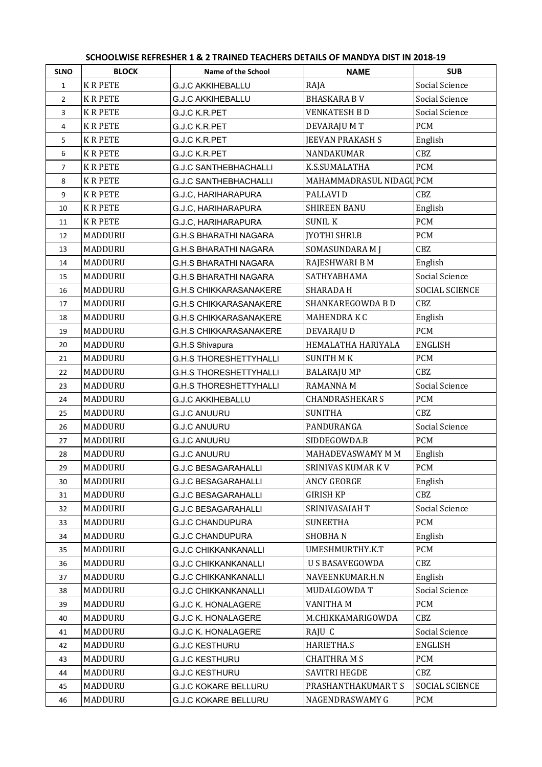| <b>SLNO</b>      | <b>BLOCK</b>  | <b>Name of the School</b>     | <b>NAME</b>              | <b>SUB</b>            |
|------------------|---------------|-------------------------------|--------------------------|-----------------------|
| $\mathbf{1}$     | <b>KRPETE</b> | <b>G.J.C AKKIHEBALLU</b>      | RAJA                     | Social Science        |
| $\overline{2}$   | <b>KRPETE</b> | <b>G.J.C AKKIHEBALLU</b>      | <b>BHASKARA BV</b>       | Social Science        |
| $\overline{3}$   | <b>KRPETE</b> | G.J.C K.R.PET                 | <b>VENKATESH B D</b>     | Social Science        |
| 4                | <b>KRPETE</b> | G.J.C K.R.PET                 | DEVARAJU M T             | PCM                   |
| 5                | <b>KRPETE</b> | G.J.C K.R.PET                 | <b>JEEVAN PRAKASH S</b>  | English               |
| 6                | <b>KRPETE</b> | G.J.C K.R.PET                 | NANDAKUMAR               | CBZ                   |
| $\overline{7}$   | <b>KRPETE</b> | <b>G.J.C SANTHEBHACHALLI</b>  | K.S.SUMALATHA            | <b>PCM</b>            |
| 8                | <b>KRPETE</b> | <b>G.J.C SANTHEBHACHALLI</b>  | MAHAMMADRASUL NIDAGU PCM |                       |
| $\boldsymbol{9}$ | <b>KRPETE</b> | G.J.C, HARIHARAPURA           | <b>PALLAVI D</b>         | CBZ                   |
| 10               | <b>KRPETE</b> | G.J.C, HARIHARAPURA           | <b>SHIREEN BANU</b>      | English               |
| 11               | <b>KRPETE</b> | G.J.C, HARIHARAPURA           | <b>SUNIL K</b>           | <b>PCM</b>            |
| 12               | MADDURU       | <b>G.H.S BHARATHI NAGARA</b>  | JYOTHI SHRI.B            | <b>PCM</b>            |
| 13               | MADDURU       | <b>G.H.S BHARATHI NAGARA</b>  | SOMASUNDARA M J          | CBZ                   |
| 14               | MADDURU       | <b>G.H.S BHARATHI NAGARA</b>  | RAJESHWARI B M           | English               |
| 15               | MADDURU       | <b>G.H.S BHARATHI NAGARA</b>  | SATHYABHAMA              | Social Science        |
| 16               | MADDURU       | <b>G.H.S CHIKKARASANAKERE</b> | <b>SHARADA H</b>         | <b>SOCIAL SCIENCE</b> |
| 17               | MADDURU       | <b>G.H.S CHIKKARASANAKERE</b> | SHANKAREGOWDA B D        | CBZ                   |
| 18               | MADDURU       | <b>G.H.S CHIKKARASANAKERE</b> | MAHENDRA K C             | English               |
| 19               | MADDURU       | <b>G.H.S CHIKKARASANAKERE</b> | DEVARAJU D               | <b>PCM</b>            |
| 20               | MADDURU       | G.H.S Shivapura               | HEMALATHA HARIYALA       | <b>ENGLISH</b>        |
| 21               | MADDURU       | <b>G.H.S THORESHETTYHALLI</b> | <b>SUNITH MK</b>         | <b>PCM</b>            |
| 22               | MADDURU       | <b>G.H.S THORESHETTYHALLI</b> | <b>BALARAJU MP</b>       | CBZ                   |
| 23               | MADDURU       | <b>G.H.S THORESHETTYHALLI</b> | <b>RAMANNA M</b>         | Social Science        |
| 24               | MADDURU       | <b>G.J.C AKKIHEBALLU</b>      | <b>CHANDRASHEKAR S</b>   | <b>PCM</b>            |
| 25               | MADDURU       | <b>G.J.C ANUURU</b>           | <b>SUNITHA</b>           | CBZ                   |
| 26               | MADDURU       | <b>G.J.C ANUURU</b>           | PANDURANGA               | Social Science        |
| 27               | MADDURU       | <b>G.J.C ANUURU</b>           | SIDDEGOWDA.B             | <b>PCM</b>            |
| 28               | MADDURU       | <b>G.J.C ANUURU</b>           | MAHADEVASWAMY M M        | English               |
| 29               | MADDURU       | <b>G.J.C BESAGARAHALLI</b>    | SRINIVAS KUMAR K V       | PCM                   |
| 30               | MADDURU       | <b>G.J.C BESAGARAHALLI</b>    | <b>ANCY GEORGE</b>       | English               |
| 31               | MADDURU       | <b>G.J.C BESAGARAHALLI</b>    | <b>GIRISH KP</b>         | CBZ                   |
| 32               | MADDURU       | <b>G.J.C BESAGARAHALLI</b>    | SRINIVASAIAH T           | Social Science        |
| 33               | MADDURU       | <b>G.J.C CHANDUPURA</b>       | <b>SUNEETHA</b>          | <b>PCM</b>            |
| 34               | MADDURU       | <b>G.J.C CHANDUPURA</b>       | <b>SHOBHAN</b>           | English               |
| 35               | MADDURU       | <b>G.J.C CHIKKANKANALLI</b>   | UMESHMURTHY.K.T          | <b>PCM</b>            |
| 36               | MADDURU       | <b>G.J.C CHIKKANKANALLI</b>   | <b>U S BASAVEGOWDA</b>   | CBZ                   |
| 37               | MADDURU       | <b>G.J.C CHIKKANKANALLI</b>   | NAVEENKUMAR.H.N          | English               |
| 38               | MADDURU       | <b>G.J.C CHIKKANKANALLI</b>   | MUDALGOWDA T             | Social Science        |
| 39               | MADDURU       | G.J.C K. HONALAGERE           | VANITHA M                | PCM                   |
| 40               | MADDURU       | G.J.C K. HONALAGERE           | M.CHIKKAMARIGOWDA        | CBZ                   |
| 41               | MADDURU       | G.J.C K. HONALAGERE           | RAJU C                   | Social Science        |
| 42               | MADDURU       | <b>G.J.C KESTHURU</b>         | HARIETHA.S               | <b>ENGLISH</b>        |
| 43               | MADDURU       | <b>G.J.C KESTHURU</b>         | <b>CHAITHRA M S</b>      | <b>PCM</b>            |
| 44               | MADDURU       | <b>G.J.C KESTHURU</b>         | <b>SAVITRI HEGDE</b>     | CBZ                   |
| 45               | MADDURU       | <b>G.J.C KOKARE BELLURU</b>   | PRASHANTHAKUMAR T S      | <b>SOCIAL SCIENCE</b> |
| 46               | MADDURU       | <b>G.J.C KOKARE BELLURU</b>   | NAGENDRASWAMY G          | <b>PCM</b>            |
|                  |               |                               |                          |                       |

## **SCHOOLWISE REFRESHER 1 & 2 TRAINED TEACHERS DETAILS OF MANDYA DIST IN 2018-19**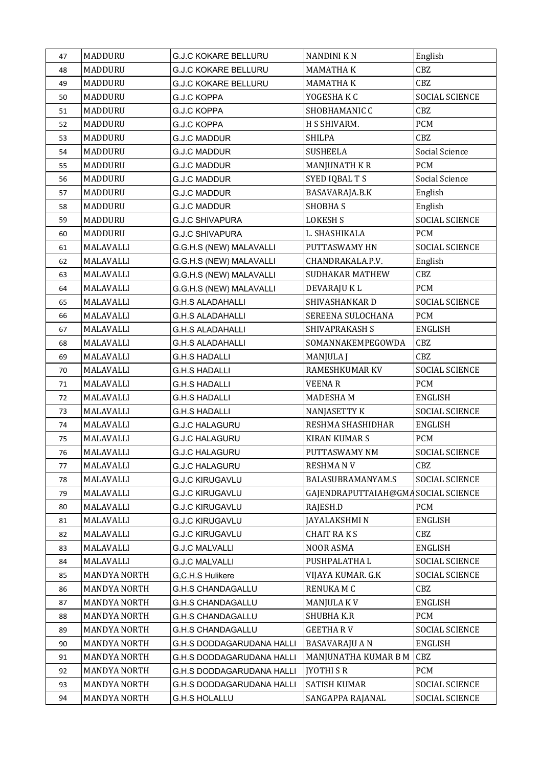| 47 | MADDURU             | <b>G.J.C KOKARE BELLURU</b>      | <b>NANDINI KN</b>     | English               |
|----|---------------------|----------------------------------|-----------------------|-----------------------|
| 48 | MADDURU             | <b>G.J.C KOKARE BELLURU</b>      | <b>MAMATHAK</b>       | CBZ                   |
| 49 | MADDURU             | <b>G.J.C KOKARE BELLURU</b>      | <b>MAMATHAK</b>       | CBZ                   |
| 50 | MADDURU             | <b>G.J.C KOPPA</b>               | YOGESHAKC             | SOCIAL SCIENCE        |
| 51 | MADDURU             | <b>G.J.C KOPPA</b>               | SHOBHAMANIC C         | CBZ                   |
| 52 | MADDURU             | <b>G.J.C KOPPA</b>               | H S SHIVARM.          | <b>PCM</b>            |
| 53 | MADDURU             | <b>G.J.C MADDUR</b>              | <b>SHILPA</b>         | CBZ                   |
| 54 | MADDURU             | <b>G.J.C MADDUR</b>              | <b>SUSHEELA</b>       | Social Science        |
| 55 | MADDURU             | <b>G.J.C MADDUR</b>              | MANJUNATH KR          | <b>PCM</b>            |
| 56 | MADDURU             | <b>G.J.C MADDUR</b>              | SYED IQBAL T S        | Social Science        |
| 57 | MADDURU             | <b>G.J.C MADDUR</b>              | BASAVARAJA.B.K        | English               |
| 58 | MADDURU             | <b>G.J.C MADDUR</b>              | <b>SHOBHAS</b>        | English               |
| 59 | MADDURU             | <b>G.J.C SHIVAPURA</b>           | <b>LOKESH S</b>       | <b>SOCIAL SCIENCE</b> |
| 60 | MADDURU             | <b>G.J.C SHIVAPURA</b>           | L. SHASHIKALA         | <b>PCM</b>            |
| 61 | MALAVALLI           | G.G.H.S (NEW) MALAVALLI          | PUTTASWAMY HN         | SOCIAL SCIENCE        |
| 62 | MALAVALLI           | G.G.H.S (NEW) MALAVALLI          | CHANDRAKALA.P.V.      | English               |
| 63 | MALAVALLI           | G.G.H.S (NEW) MALAVALLI          | SUDHAKAR MATHEW       | CBZ                   |
| 64 | MALAVALLI           | G.G.H.S (NEW) MALAVALLI          | DEVARAJU K L          | <b>PCM</b>            |
| 65 | MALAVALLI           | <b>G.H.S ALADAHALLI</b>          | SHIVASHANKAR D        | <b>SOCIAL SCIENCE</b> |
| 66 | MALAVALLI           | <b>G.H.S ALADAHALLI</b>          | SEREENA SULOCHANA     | <b>PCM</b>            |
| 67 | MALAVALLI           | <b>G.H.S ALADAHALLI</b>          | SHIVAPRAKASH S        | <b>ENGLISH</b>        |
| 68 | MALAVALLI           | <b>G.H.S ALADAHALLI</b>          | SOMANNAKEMPEGOWDA     | CBZ                   |
| 69 | MALAVALLI           | <b>G.H.S HADALLI</b>             | MANJULA J             | CBZ                   |
| 70 | MALAVALLI           | <b>G.H.S HADALLI</b>             | <b>RAMESHKUMAR KV</b> | <b>SOCIAL SCIENCE</b> |
| 71 | MALAVALLI           | <b>G.H.S HADALLI</b>             | <b>VEENAR</b>         | <b>PCM</b>            |
| 72 | MALAVALLI           | <b>G.H.S HADALLI</b>             | <b>MADESHAM</b>       | <b>ENGLISH</b>        |
| 73 | MALAVALLI           | <b>G.H.S HADALLI</b>             | NANJASETTY K          | <b>SOCIAL SCIENCE</b> |
| 74 | MALAVALLI           | <b>G.J.C HALAGURU</b>            | RESHMA SHASHIDHAR     | <b>ENGLISH</b>        |
| 75 | MALAVALLI           | <b>G.J.C HALAGURU</b>            | <b>KIRAN KUMAR S</b>  | <b>PCM</b>            |
| 76 | MALAVALLI           | <b>G.J.C HALAGURU</b>            | PUTTASWAMY NM         | <b>SOCIAL SCIENCE</b> |
| 77 | MALAVALLI           | <b>G.J.C HALAGURU</b>            | <b>RESHMANV</b>       | CBZ                   |
| 78 | MALAVALLI           | <b>G.J.C KIRUGAVLU</b>           | BALASUBRAMANYAM.S     | <b>SOCIAL SCIENCE</b> |
| 79 | MALAVALLI           | <b>G.J.C KIRUGAVLU</b>           | GAJENDRAPUTTAIAH@GMA  | <b>SOCIAL SCIENCE</b> |
| 80 | MALAVALLI           | <b>G.J.C KIRUGAVLU</b>           | RAJESH.D              | <b>PCM</b>            |
| 81 | MALAVALLI           | <b>G.J.C KIRUGAVLU</b>           | <b>JAYALAKSHMIN</b>   | <b>ENGLISH</b>        |
| 82 | MALAVALLI           | <b>G.J.C KIRUGAVLU</b>           | <b>CHAIT RAKS</b>     | CBZ                   |
| 83 | MALAVALLI           | <b>G.J.C MALVALLI</b>            | NOOR ASMA             | <b>ENGLISH</b>        |
| 84 | MALAVALLI           | <b>G.J.C MALVALLI</b>            | PUSHPALATHA L         | <b>SOCIAL SCIENCE</b> |
| 85 | <b>MANDYA NORTH</b> | G,C.H.S Hulikere                 | VIJAYA KUMAR. G.K     | <b>SOCIAL SCIENCE</b> |
| 86 | <b>MANDYA NORTH</b> | <b>G.H.S CHANDAGALLU</b>         | <b>RENUKA M C</b>     | CBZ                   |
| 87 | <b>MANDYA NORTH</b> | <b>G.H.S CHANDAGALLU</b>         | MANJULA KV            | ENGLISH               |
| 88 | <b>MANDYA NORTH</b> | <b>G.H.S CHANDAGALLU</b>         | SHUBHA K.R            | <b>PCM</b>            |
| 89 | <b>MANDYA NORTH</b> | <b>G.H.S CHANDAGALLU</b>         | <b>GEETHARV</b>       | <b>SOCIAL SCIENCE</b> |
| 90 | <b>MANDYA NORTH</b> | G.H.S DODDAGARUDANA HALLI        | <b>BASAVARAJU A N</b> | <b>ENGLISH</b>        |
| 91 | <b>MANDYA NORTH</b> | G.H.S DODDAGARUDANA HALLI        | MANJUNATHA KUMAR B M  | CBZ                   |
| 92 | <b>MANDYA NORTH</b> | <b>G.H.S DODDAGARUDANA HALLI</b> | <b>JYOTHI S R</b>     | <b>PCM</b>            |
| 93 | <b>MANDYA NORTH</b> | G.H.S DODDAGARUDANA HALLI        | <b>SATISH KUMAR</b>   | <b>SOCIAL SCIENCE</b> |
| 94 | <b>MANDYA NORTH</b> | <b>G.H.S HOLALLU</b>             | SANGAPPA RAJANAL      | SOCIAL SCIENCE        |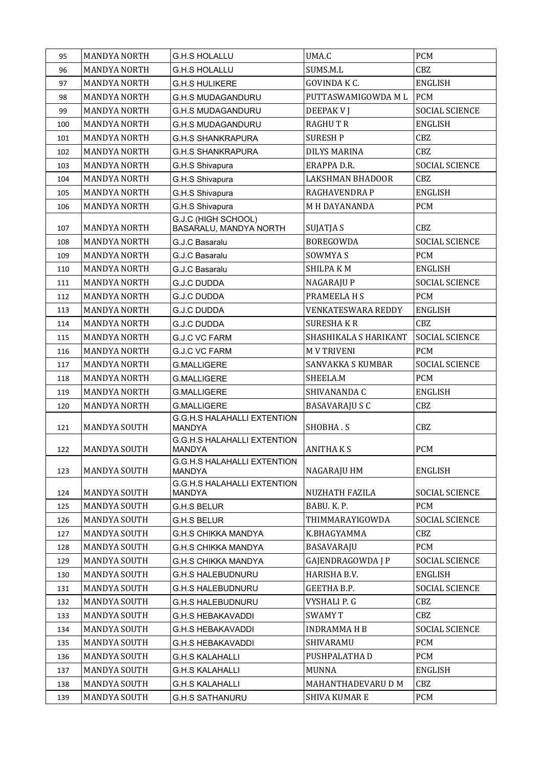| 95  | <b>MANDYA NORTH</b> | <b>G.H.S HOLALLU</b>                                | UMA.C                     | PCM                   |
|-----|---------------------|-----------------------------------------------------|---------------------------|-----------------------|
| 96  | <b>MANDYA NORTH</b> | <b>G.H.S HOLALLU</b>                                | SUMS.M.L                  | CBZ                   |
| 97  | <b>MANDYA NORTH</b> | <b>G.H.S HULIKERE</b>                               | GOVINDA K C.              | <b>ENGLISH</b>        |
| 98  | <b>MANDYA NORTH</b> | <b>G.H.S MUDAGANDURU</b>                            | PUTTASWAMIGOWDA ML        | <b>PCM</b>            |
| 99  | <b>MANDYA NORTH</b> | <b>G.H.S MUDAGANDURU</b>                            | <b>DEEPAK V J</b>         | <b>SOCIAL SCIENCE</b> |
| 100 | <b>MANDYA NORTH</b> | <b>G.H.S MUDAGANDURU</b>                            | <b>RAGHUTR</b>            | <b>ENGLISH</b>        |
| 101 | <b>MANDYA NORTH</b> | <b>G.H.S SHANKRAPURA</b>                            | <b>SURESH P</b>           | CBZ                   |
| 102 | <b>MANDYA NORTH</b> | <b>G.H.S SHANKRAPURA</b>                            | <b>DILYS MARINA</b>       | CBZ                   |
| 103 | <b>MANDYA NORTH</b> | G.H.S Shivapura                                     | ERAPPA D.R.               | <b>SOCIAL SCIENCE</b> |
| 104 | <b>MANDYA NORTH</b> | G.H.S Shivapura                                     | <b>LAKSHMAN BHADOOR</b>   | CBZ                   |
| 105 | <b>MANDYA NORTH</b> | G.H.S Shivapura                                     | RAGHAVENDRA P             | <b>ENGLISH</b>        |
| 106 | <b>MANDYA NORTH</b> | G.H.S Shivapura                                     | M H DAYANANDA             | <b>PCM</b>            |
| 107 | <b>MANDYA NORTH</b> | G.J.C (HIGH SCHOOL)<br>BASARALU, MANDYA NORTH       | SUJATJA S                 | CBZ                   |
| 108 | <b>MANDYA NORTH</b> | G.J.C Basaralu                                      | <b>BOREGOWDA</b>          | <b>SOCIAL SCIENCE</b> |
| 109 | <b>MANDYA NORTH</b> | G.J.C Basaralu                                      | SOWMYA S                  | <b>PCM</b>            |
| 110 | <b>MANDYA NORTH</b> | G.J.C Basaralu                                      | <b>SHILPAKM</b>           | <b>ENGLISH</b>        |
| 111 | <b>MANDYA NORTH</b> | <b>G.J.C DUDDA</b>                                  | NAGARAJU P                | <b>SOCIAL SCIENCE</b> |
| 112 | <b>MANDYA NORTH</b> | <b>G.J.C DUDDA</b>                                  | PRAMEELA H S              | <b>PCM</b>            |
| 113 | <b>MANDYA NORTH</b> | <b>G.J.C DUDDA</b>                                  | <b>VENKATESWARA REDDY</b> | <b>ENGLISH</b>        |
| 114 | <b>MANDYA NORTH</b> | <b>G.J.C DUDDA</b>                                  | <b>SURESHAKR</b>          | <b>CBZ</b>            |
| 115 | <b>MANDYA NORTH</b> | <b>G.J.C VC FARM</b>                                | SHASHIKALA S HARIKANT     | <b>SOCIAL SCIENCE</b> |
| 116 | <b>MANDYA NORTH</b> | <b>G.J.C VC FARM</b>                                | <b>MV TRIVENI</b>         | <b>PCM</b>            |
| 117 | <b>MANDYA NORTH</b> | <b>G.MALLIGERE</b>                                  | SANVAKKA S KUMBAR         | <b>SOCIAL SCIENCE</b> |
| 118 | <b>MANDYA NORTH</b> | <b>G.MALLIGERE</b>                                  | SHEELA.M                  | <b>PCM</b>            |
| 119 | <b>MANDYA NORTH</b> | <b>G.MALLIGERE</b>                                  | SHIVANANDA C              | <b>ENGLISH</b>        |
| 120 | <b>MANDYA NORTH</b> | <b>G.MALLIGERE</b>                                  | <b>BASAVARAJU S C</b>     | CBZ                   |
| 121 | <b>MANDYA SOUTH</b> | <b>G.G.H.S HALAHALLI EXTENTION</b><br>MANDYA        | SHOBHA.S                  | CBZ                   |
| 122 | <b>MANDYA SOUTH</b> | <b>G.G.H.S HALAHALLI EXTENTION</b><br><b>MANDYA</b> | <b>ANITHAKS</b>           | <b>PCM</b>            |
| 123 | <b>MANDYA SOUTH</b> | <b>G.G.H.S HALAHALLI EXTENTION</b><br><b>MANDYA</b> | NAGARAJU HM               | <b>ENGLISH</b>        |
| 124 | <b>MANDYA SOUTH</b> | <b>G.G.H.S HALAHALLI EXTENTION</b><br>MANDYA        | NUZHATH FAZILA            | SOCIAL SCIENCE        |
| 125 | <b>MANDYA SOUTH</b> | <b>G.H.S BELUR</b>                                  | BABU. K. P.               | <b>PCM</b>            |
| 126 | MANDYA SOUTH        | G.H.S BELUR                                         | THIMMARAYIGOWDA           | <b>SOCIAL SCIENCE</b> |
| 127 | MANDYA SOUTH        | <b>G.H.S CHIKKA MANDYA</b>                          | K.BHAGYAMMA               | CBZ                   |
| 128 | <b>MANDYA SOUTH</b> | <b>G.H.S CHIKKA MANDYA</b>                          | BASAVARAJU                | <b>PCM</b>            |
| 129 | MANDYA SOUTH        | <b>G.H.S CHIKKA MANDYA</b>                          | <b>GAJENDRAGOWDA J P</b>  | <b>SOCIAL SCIENCE</b> |
| 130 | MANDYA SOUTH        | <b>G.H.S HALEBUDNURU</b>                            | HARISHA B.V.              | <b>ENGLISH</b>        |
| 131 | MANDYA SOUTH        | <b>G.H.S HALEBUDNURU</b>                            | GEETHA B.P.               | <b>SOCIAL SCIENCE</b> |
| 132 | <b>MANDYA SOUTH</b> | <b>G.H.S HALEBUDNURU</b>                            | VYSHALI P. G              | CBZ                   |
| 133 | <b>MANDYA SOUTH</b> | <b>G.H.S HEBAKAVADDI</b>                            | <b>SWAMY T</b>            | CBZ                   |
| 134 | MANDYA SOUTH        | <b>G.H.S HEBAKAVADDI</b>                            | <b>INDRAMMAHB</b>         | SOCIAL SCIENCE        |
| 135 | MANDYA SOUTH        | <b>G.H.S HEBAKAVADDI</b>                            | SHIVARAMU                 | <b>PCM</b>            |
| 136 | <b>MANDYA SOUTH</b> | <b>G.H.S KALAHALLI</b>                              | PUSHPALATHA D             | <b>PCM</b>            |
| 137 | MANDYA SOUTH        | <b>G.H.S KALAHALLI</b>                              | <b>MUNNA</b>              | <b>ENGLISH</b>        |
| 138 | MANDYA SOUTH        | <b>G.H.S KALAHALLI</b>                              | MAHANTHADEVARU D M        | CBZ                   |
| 139 | MANDYA SOUTH        | <b>G.H.S SATHANURU</b>                              | SHIVA KUMAR E             | <b>PCM</b>            |
|     |                     |                                                     |                           |                       |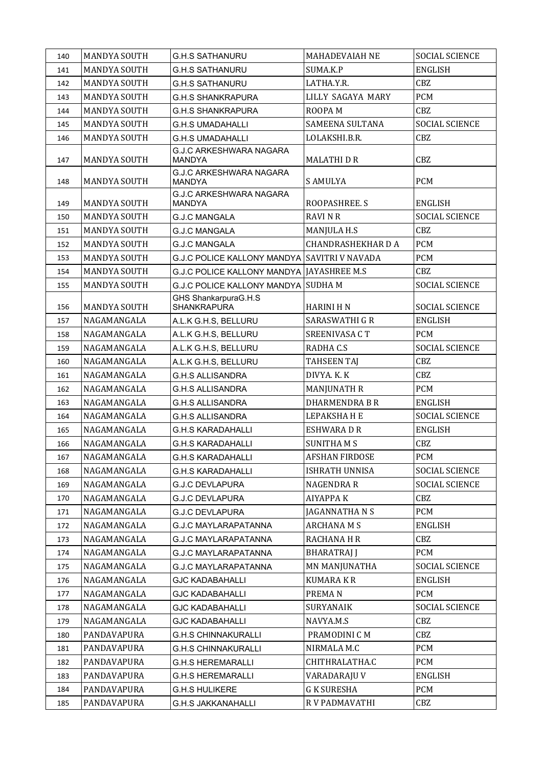| 140 | <b>MANDYA SOUTH</b> | <b>G.H.S SATHANURU</b>                       | MAHADEVAIAH NE            | <b>SOCIAL SCIENCE</b> |
|-----|---------------------|----------------------------------------------|---------------------------|-----------------------|
| 141 | <b>MANDYA SOUTH</b> | <b>G.H.S SATHANURU</b>                       | SUMA.K.P                  | <b>ENGLISH</b>        |
| 142 | <b>MANDYA SOUTH</b> | <b>G.H.S SATHANURU</b>                       | LATHA.Y.R.                | CBZ                   |
| 143 | <b>MANDYA SOUTH</b> | <b>G.H.S SHANKRAPURA</b>                     | LILLY SAGAYA MARY         | <b>PCM</b>            |
| 144 | <b>MANDYA SOUTH</b> | <b>G.H.S SHANKRAPURA</b>                     | ROOPA <sub>M</sub>        | CBZ                   |
| 145 | <b>MANDYA SOUTH</b> | <b>G.H.S UMADAHALLI</b>                      | SAMEENA SULTANA           | <b>SOCIAL SCIENCE</b> |
| 146 | <b>MANDYA SOUTH</b> | <b>G.H.S UMADAHALLI</b>                      | LOLAKSHI.B.R.             | CBZ                   |
| 147 | <b>MANDYA SOUTH</b> | G.J.C ARKESHWARA NAGARA<br>MANDYA            | <b>MALATHIDR</b>          | CBZ                   |
| 148 | <b>MANDYA SOUTH</b> | G.J.C ARKESHWARA NAGARA<br><b>MANDYA</b>     | <b>S AMULYA</b>           | <b>PCM</b>            |
| 149 | <b>MANDYA SOUTH</b> | G.J.C ARKESHWARA NAGARA<br><b>MANDYA</b>     | ROOPASHREE. S             | <b>ENGLISH</b>        |
| 150 | <b>MANDYA SOUTH</b> | <b>G.J.C MANGALA</b>                         | <b>RAVI N R</b>           | <b>SOCIAL SCIENCE</b> |
| 151 | <b>MANDYA SOUTH</b> | <b>G.J.C MANGALA</b>                         | MANJULA H.S               | CBZ                   |
| 152 | <b>MANDYA SOUTH</b> | <b>G.J.C MANGALA</b>                         | <b>CHANDRASHEKHAR D A</b> | <b>PCM</b>            |
| 153 | <b>MANDYA SOUTH</b> | G.J.C POLICE KALLONY MANDYA SAVITRI V NAVADA |                           | <b>PCM</b>            |
| 154 | <b>MANDYA SOUTH</b> | G.J.C POLICE KALLONY MANDYA   JAYASHREE M.S  |                           | CBZ                   |
| 155 | MANDYA SOUTH        | G.J.C POLICE KALLONY MANDYA SUDHA M          |                           | SOCIAL SCIENCE        |
| 156 | <b>MANDYA SOUTH</b> | GHS ShankarpuraG.H.S<br><b>SHANKRAPURA</b>   | <b>HARINI H N</b>         | <b>SOCIAL SCIENCE</b> |
| 157 | NAGAMANGALA         | A.L.K G.H.S, BELLURU                         | SARASWATHI G R            | <b>ENGLISH</b>        |
| 158 | NAGAMANGALA         | A.L.K G.H.S, BELLURU                         | SREENIVASA CT             | <b>PCM</b>            |
| 159 | NAGAMANGALA         | A.L.K G.H.S, BELLURU                         | RADHA C.S                 | <b>SOCIAL SCIENCE</b> |
| 160 | NAGAMANGALA         | A.L.K G.H.S, BELLURU                         | TAHSEEN TAJ               | CBZ                   |
| 161 | NAGAMANGALA         | <b>G.H.S ALLISANDRA</b>                      | DIVYA. K. K               | CBZ                   |
| 162 | NAGAMANGALA         | <b>G.H.S ALLISANDRA</b>                      | <b>MANJUNATH R</b>        | <b>PCM</b>            |
| 163 | NAGAMANGALA         | <b>G.H.S ALLISANDRA</b>                      | <b>DHARMENDRA B R</b>     | <b>ENGLISH</b>        |
| 164 | NAGAMANGALA         | <b>G.H.S ALLISANDRA</b>                      | LEPAKSHA H E              | <b>SOCIAL SCIENCE</b> |
| 165 | NAGAMANGALA         | <b>G.H.S KARADAHALLI</b>                     | <b>ESHWARA D R</b>        | <b>ENGLISH</b>        |
| 166 | NAGAMANGALA         | <b>G.H.S KARADAHALLI</b>                     | <b>SUNITHAMS</b>          | CBZ                   |
| 167 | NAGAMANGALA         | <b>G.H.S KARADAHALLI</b>                     | <b>AFSHAN FIRDOSE</b>     | PCM                   |
| 168 | NAGAMANGALA         | <b>G.H.S KARADAHALLI</b>                     | ISHRATH UNNISA            | SOCIAL SCIENCE        |
| 169 | NAGAMANGALA         | <b>G.J.C DEVLAPURA</b>                       | <b>NAGENDRA R</b>         | <b>SOCIAL SCIENCE</b> |
| 170 | NAGAMANGALA         | <b>G.J.C DEVLAPURA</b>                       | AIYAPPA K                 | CBZ                   |
| 171 | NAGAMANGALA         | <b>G.J.C DEVLAPURA</b>                       | JAGANNATHA N S            | PCM                   |
| 172 | NAGAMANGALA         | <b>G.J.C MAYLARAPATANNA</b>                  | ARCHANA M S               | ENGLISH               |
| 173 | NAGAMANGALA         | <b>G.J.C MAYLARAPATANNA</b>                  | RACHANA H R               | CBZ                   |
| 174 | NAGAMANGALA         | <b>G.J.C MAYLARAPATANNA</b>                  | <b>BHARATRAJ J</b>        | <b>PCM</b>            |
| 175 | NAGAMANGALA         | <b>G.J.C MAYLARAPATANNA</b>                  | MN MANJUNATHA             | SOCIAL SCIENCE        |
| 176 | NAGAMANGALA         | <b>GJC KADABAHALLI</b>                       | KUMARA K R                | ENGLISH               |
| 177 | NAGAMANGALA         | <b>GJC KADABAHALLI</b>                       | PREMAN                    | <b>PCM</b>            |
| 178 | NAGAMANGALA         | <b>GJC KADABAHALLI</b>                       | SURYANAIK                 | <b>SOCIAL SCIENCE</b> |
| 179 | NAGAMANGALA         | <b>GJC KADABAHALLI</b>                       | NAVYA.M.S                 | CBZ                   |
| 180 | PANDAVAPURA         | <b>G.H.S CHINNAKURALLI</b>                   | PRAMODINI C M             | CBZ                   |
| 181 | PANDAVAPURA         | <b>G.H.S CHINNAKURALLI</b>                   | NIRMALA M.C               | <b>PCM</b>            |
| 182 | PANDAVAPURA         | <b>G.H.S HEREMARALLI</b>                     | CHITHRALATHA.C            | <b>PCM</b>            |
| 183 | PANDAVAPURA         | <b>G.H.S HEREMARALLI</b>                     | VARADARAJU V              | <b>ENGLISH</b>        |
| 184 | PANDAVAPURA         | <b>G.H.S HULIKERE</b>                        | <b>G K SURESHA</b>        | <b>PCM</b>            |
| 185 | PANDAVAPURA         | <b>G.H.S JAKKANAHALLI</b>                    | R V PADMAVATHI            | CBZ                   |